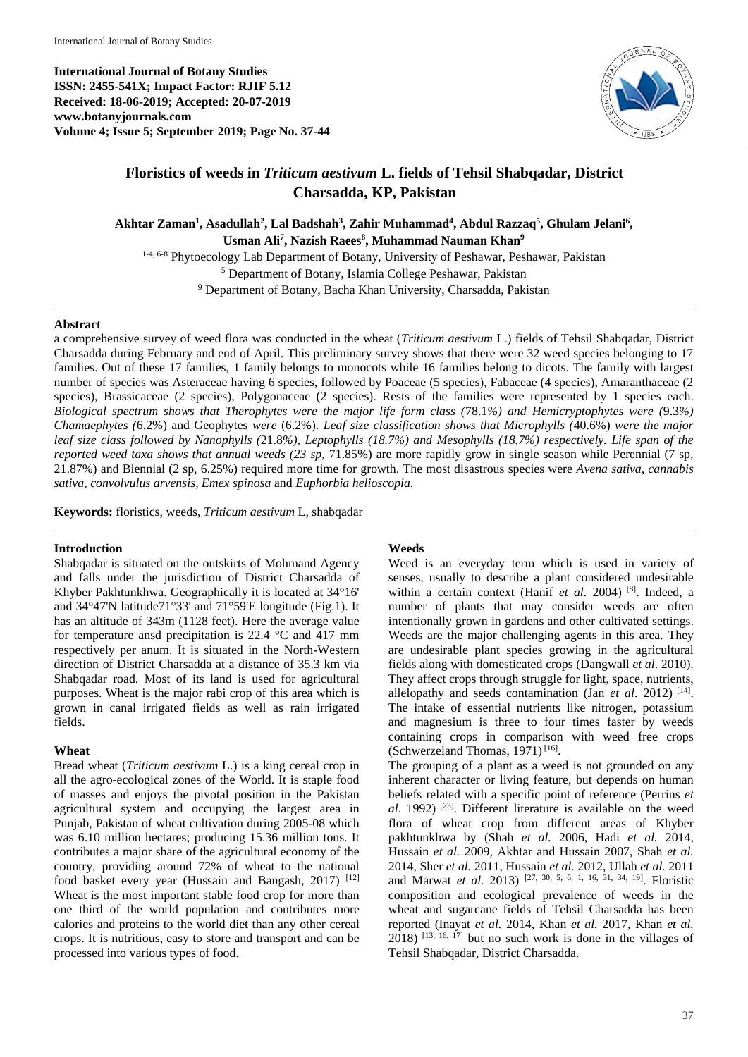**International Journal of Botany Studies ISSN: 2455-541X; Impact Factor: RJIF 5.12 Received: 18-06-2019; Accepted: 20-07-2019 www.botanyjournals.com Volume 4; Issue 5; September 2019; Page No. 37-44**



# **Floristics of weeds in** *Triticum aestivum* **L. fields of Tehsil Shabqadar, District Charsadda, KP, Pakistan**

**Akhtar Zaman<sup>1</sup> , Asadullah<sup>2</sup> , Lal Badshah<sup>3</sup> , Zahir Muhammad<sup>4</sup> , Abdul Razzaq<sup>5</sup> , Ghulam Jelani<sup>6</sup> , Usman Ali<sup>7</sup> , Nazish Raees<sup>8</sup> , Muhammad Nauman Khan<sup>9</sup>**

1-4, 6-8 Phytoecology Lab Department of Botany, University of Peshawar, Peshawar, Pakistan

<sup>5</sup> Department of Botany, Islamia College Peshawar, Pakistan

<sup>9</sup> Department of Botany, Bacha Khan University, Charsadda, Pakistan

### **Abstract**

a comprehensive survey of weed flora was conducted in the wheat (*Triticum aestivum* L.) fields of Tehsil Shabqadar, District Charsadda during February and end of April. This preliminary survey shows that there were 32 weed species belonging to 17 families. Out of these 17 families, 1 family belongs to monocots while 16 families belong to dicots. The family with largest number of species was Asteraceae having 6 species, followed by Poaceae (5 species), Fabaceae (4 species), Amaranthaceae (2 species), Brassicaceae (2 species), Polygonaceae (2 species). Rests of the families were represented by 1 species each. *Biological spectrum shows that Therophytes were the major life form class (*78.1*%) and Hemicryptophytes were (*9.3*%) Chamaephytes (*6.2%) and Geophytes *were* (6.2%)*. Leaf size classification shows that Microphylls (*40.6%) *were the major leaf size class followed by Nanophylls (*21.8*%), Leptophylls (18.7%) and Mesophylls (18.7%) respectively. Life span of the reported weed taxa shows that annual weeds (23 sp,* 71.85%) are more rapidly grow in single season while Perennial (7 sp, 21.87%) and Biennial (2 sp, 6.25%) required more time for growth. The most disastrous species were *Avena sativa, cannabis sativa, convolvulus arvensis, Emex spinosa* and *Euphorbia helioscopia.*

**Keywords:** floristics, weeds, *Triticum aestivum* L, shabqadar

### **Introduction**

Shabqadar is situated on the outskirts of Mohmand Agency and falls under the jurisdiction of District Charsadda of Khyber Pakhtunkhwa. Geographically it is located at 34°16' and 34°47'N latitude71°33' and 71°59'E longitude (Fig.1). It has an altitude of 343m (1128 feet). Here the average value for temperature ansd precipitation is 22.4 °C and 417 mm respectively per anum. It is situated in the North-Western direction of District Charsadda at a distance of 35.3 km via Shabqadar road. Most of its land is used for agricultural purposes. Wheat is the major rabi crop of this area which is grown in canal irrigated fields as well as rain irrigated fields.

### **Wheat**

Bread wheat (*Triticum aestivum* L.) is a king cereal crop in all the agro-ecological zones of the World. It is staple food of masses and enjoys the pivotal position in the Pakistan agricultural system and occupying the largest area in Punjab, Pakistan of wheat cultivation during 2005-08 which was 6.10 million hectares; producing 15.36 million tons. It contributes a major share of the agricultural economy of the country, providing around 72% of wheat to the national food basket every year (Hussain and Bangash, 2017)  $[12]$ Wheat is the most important stable food crop for more than one third of the world population and contributes more calories and proteins to the world diet than any other cereal crops. It is nutritious, easy to store and transport and can be processed into various types of food.

### **Weeds**

Weed is an everyday term which is used in variety of senses, usually to describe a plant considered undesirable within a certain context (Hanif *et al*. 2004) [8]. Indeed, a number of plants that may consider weeds are often intentionally grown in gardens and other cultivated settings. Weeds are the major challenging agents in this area. They are undesirable plant species growing in the agricultural fields along with domesticated crops (Dangwall *et al*. 2010). They affect crops through struggle for light, space, nutrients, allelopathy and seeds contamination (Jan *et al.* 2012)<sup>[14]</sup>. The intake of essential nutrients like nitrogen, potassium and magnesium is three to four times faster by weeds containing crops in comparison with weed free crops (Schwerzeland Thomas, 1971)<sup>[16]</sup>.

The grouping of a plant as a weed is not grounded on any inherent character or living feature, but depends on human beliefs related with a specific point of reference (Perrins *et al*. 1992) [23] . Different literature is available on the weed flora of wheat crop from different areas of Khyber pakhtunkhwa by (Shah *et al.* 2006, Hadi *et al.* 2014, Hussain *et al.* 2009, Akhtar and Hussain 2007, Shah *et al.*  2014, Sher *et al.* 2011, Hussain *et al.* 2012, Ullah *et al.* 2011 and Marwat *et al.* 2013) [27, 30, 5, 6, 1, 16, 31, 34, 19] . Floristic composition and ecological prevalence of weeds in the wheat and sugarcane fields of Tehsil Charsadda has been reported (Inayat *et al.* 2014, Khan *et al.* 2017, Khan *et al.*   $2018$ )  $^{[13, 16, 17]}$  but no such work is done in the villages of Tehsil Shabqadar, District Charsadda.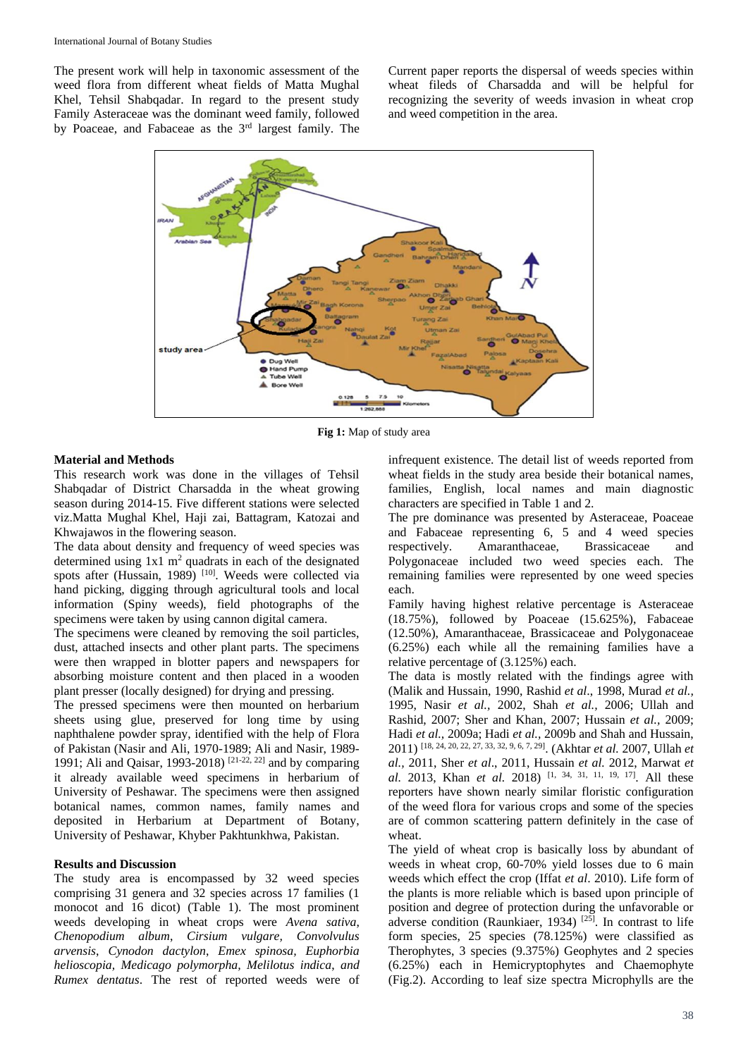The present work will help in taxonomic assessment of the weed flora from different wheat fields of Matta Mughal Khel, Tehsil Shabqadar. In regard to the present study Family Asteraceae was the dominant weed family, followed by Poaceae, and Fabaceae as the 3rd largest family. The Current paper reports the dispersal of weeds species within wheat fileds of Charsadda and will be helpful for recognizing the severity of weeds invasion in wheat crop and weed competition in the area.



**Fig 1:** Map of study area

### **Material and Methods**

This research work was done in the villages of Tehsil Shabqadar of District Charsadda in the wheat growing season during 2014-15. Five different stations were selected viz.Matta Mughal Khel, Haji zai, Battagram, Katozai and Khwajawos in the flowering season.

The data about density and frequency of weed species was determined using  $1x1 \text{ m}^2$  quadrats in each of the designated spots after (Hussain, 1989)<sup>[10]</sup>. Weeds were collected via hand picking, digging through agricultural tools and local information (Spiny weeds), field photographs of the specimens were taken by using cannon digital camera.

The specimens were cleaned by removing the soil particles, dust, attached insects and other plant parts. The specimens were then wrapped in blotter papers and newspapers for absorbing moisture content and then placed in a wooden plant presser (locally designed) for drying and pressing.

The pressed specimens were then mounted on herbarium sheets using glue, preserved for long time by using naphthalene powder spray, identified with the help of Flora of Pakistan (Nasir and Ali, 1970-1989; Ali and Nasir, 1989- 1991; Ali and Qaisar, 1993-2018) [21-22, 22] and by comparing it already available weed specimens in herbarium of University of Peshawar. The specimens were then assigned botanical names, common names, family names and deposited in Herbarium at Department of Botany, University of Peshawar, Khyber Pakhtunkhwa, Pakistan.

#### **Results and Discussion**

The study area is encompassed by 32 weed species comprising 31 genera and 32 species across 17 families (1 monocot and 16 dicot) (Table 1). The most prominent weeds developing in wheat crops were *Avena sativa*, *Chenopodium album*, *Cirsium vulgare, Convolvulus arvensis*, *Cynodon dactylon*, *Emex spinosa, Euphorbia helioscopia, Medicago polymorpha, Melilotus indica*, *and Rumex dentatus*. The rest of reported weeds were of infrequent existence. The detail list of weeds reported from wheat fields in the study area beside their botanical names, families, English, local names and main diagnostic characters are specified in Table 1 and 2.

The pre dominance was presented by Asteraceae, Poaceae and Fabaceae representing 6, 5 and 4 weed species respectively. Amaranthaceae, Brassicaceae and Polygonaceae included two weed species each. The remaining families were represented by one weed species each.

Family having highest relative percentage is Asteraceae (18.75%), followed by Poaceae (15.625%), Fabaceae (12.50%), Amaranthaceae, Brassicaceae and Polygonaceae (6.25%) each while all the remaining families have a relative percentage of (3.125%) each.

The data is mostly related with the findings agree with (Malik and Hussain, 1990, Rashid *et al*., 1998, Murad *et al.,*  1995, Nasir *et al.,* 2002, Shah *et al.,* 2006; Ullah and Rashid, 2007; Sher and Khan, 2007; Hussain *et al.,* 2009; Hadi *et al.,* 2009a; Hadi *et al.,* 2009b and Shah and Hussain, 2011) [18, 24, 20, 22, 27, 33, 32, 9, 6, 7, 29] . (Akhtar *et al.* 2007, Ullah *et al.,* 2011, Sher *et al*., 2011, Hussain *et al.* 2012, Marwat *et al.* 2013, Khan *et al.* 2018) [1, 34, 31, 11, 19, 17]. All these reporters have shown nearly similar floristic configuration of the weed flora for various crops and some of the species are of common scattering pattern definitely in the case of wheat.

The yield of wheat crop is basically loss by abundant of weeds in wheat crop, 60-70% yield losses due to 6 main weeds which effect the crop (Iffat *et al*. 2010). Life form of the plants is more reliable which is based upon principle of position and degree of protection during the unfavorable or adverse condition (Raunkiaer, 1934)  $^{[25]}$ . In contrast to life form species, 25 species (78.125%) were classified as Therophytes, 3 species (9.375%) Geophytes and 2 species (6.25%) each in Hemicryptophytes and Chaemophyte (Fig.2). According to leaf size spectra Microphylls are the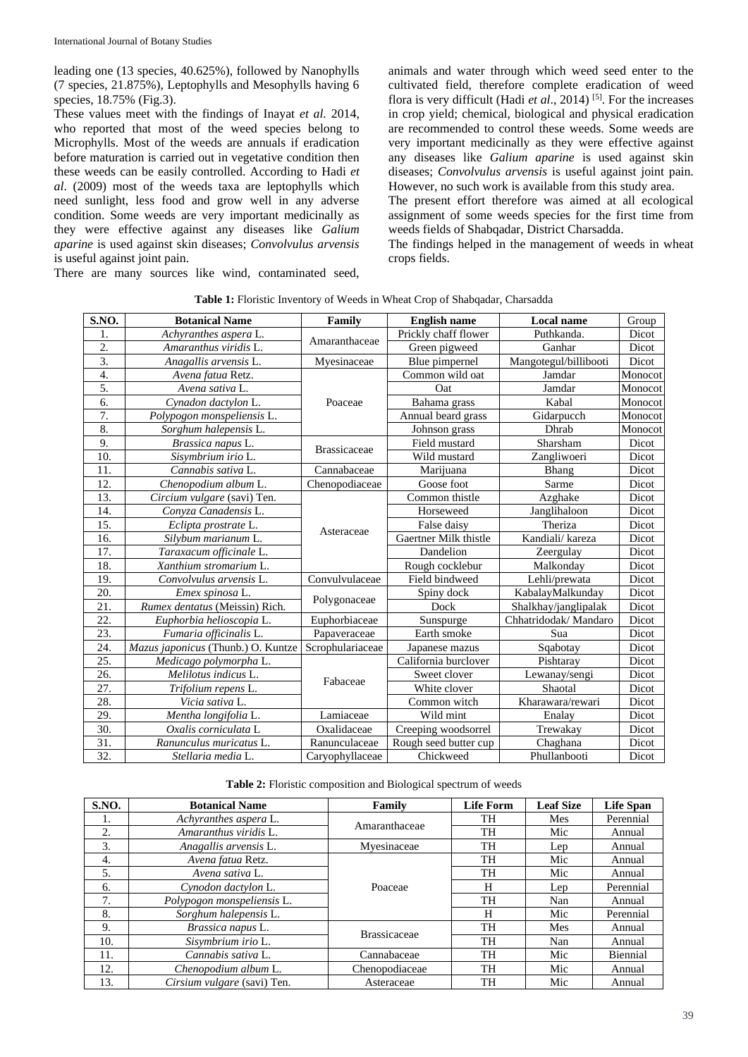leading one (13 species, 40.625%), followed by Nanophylls (7 species, 21.875%), Leptophylls and Mesophylls having 6 species, 18.75% (Fig.3).

These values meet with the findings of Inayat *et al.* 2014, who reported that most of the weed species belong to Microphylls. Most of the weeds are annuals if eradication before maturation is carried out in vegetative condition then these weeds can be easily controlled. According to Hadi *et al*. (2009) most of the weeds taxa are leptophylls which need sunlight, less food and grow well in any adverse condition. Some weeds are very important medicinally as they were effective against any diseases like *Galium aparine* is used against skin diseases; *Convolvulus arvensis*  is useful against joint pain. There are many sources like wind, contaminated seed,

animals and water through which weed seed enter to the cultivated field, therefore complete eradication of weed flora is very difficult (Hadi *et al*., 2014) [5]. For the increases in crop yield; chemical, biological and physical eradication are recommended to control these weeds. Some weeds are very important medicinally as they were effective against any diseases like *Galium aparine* is used against skin diseases; *Convolvulus arvensis* is useful against joint pain. However, no such work is available from this study area.

The present effort therefore was aimed at all ecological assignment of some weeds species for the first time from weeds fields of Shabqadar, District Charsadda.

The findings helped in the management of weeds in wheat crops fields.

| S.NO. | <b>Botanical Name</b>              | Family              | <b>English name</b>   | <b>Local name</b>     | Group   |
|-------|------------------------------------|---------------------|-----------------------|-----------------------|---------|
| 1.    | Achyranthes aspera L.              |                     | Prickly chaff flower  | Puthkanda.            | Dicot   |
| 2.    | Amaranthus viridis L.              | Amaranthaceae       | Green pigweed         | Ganhar                | Dicot   |
| 3.    | Anagallis arvensis L.              | Myesinaceae         | Blue pimpernel        | Mangotegul/billibooti | Dicot   |
| 4.    | Avena fatua Retz.                  |                     | Common wild oat       | Jamdar                | Monocot |
| 5.    | Avena sativa L.                    |                     | Oat                   | Jamdar                | Monocot |
| 6.    | Cynadon dactylon L.                | Poaceae             | Bahama grass          | Kabal                 | Monocot |
| 7.    | Polypogon monspeliensis L.         |                     | Annual beard grass    | Gidarpucch            | Monocot |
| 8.    | Sorghum halepensis L.              |                     | Johnson grass         | Dhrab                 | Monocot |
| 9.    | Brassica napus L.                  |                     | Field mustard         | Sharsham              | Dicot   |
| 10.   | Sisymbrium irio L.                 | <b>Brassicaceae</b> | Wild mustard          | Zangliwoeri           | Dicot   |
| 11.   | Cannabis sativa L.                 | Cannabaceae         | Marijuana             | Bhang                 | Dicot   |
| 12.   | Chenopodium album L.               | Chenopodiaceae      | Goose foot            | Sarme                 | Dicot   |
| 13.   | Circium vulgare (savi) Ten.        |                     | Common thistle        | Azghake               | Dicot   |
| 14.   | Convza Canadensis L.               |                     | Horseweed             | Janglihaloon          | Dicot   |
| 15.   | Eclipta prostrate L.               |                     | False daisy           | Theriza               | Dicot   |
| 16.   | Silybum marianum L.                | Asteraceae          | Gaertner Milk thistle | Kandiali/ kareza      | Dicot   |
| 17.   | Taraxacum officinale L.            |                     | Dandelion             | Zeergulay             | Dicot   |
| 18.   | Xanthium stromarium L.             |                     | Rough cocklebur       | Malkonday             | Dicot   |
| 19.   | Convolvulus arvensis L.            | Convulvulaceae      | Field bindweed        | Lehli/prewata         | Dicot   |
| 20.   | Emex spinosa L.                    |                     | Spiny dock            | KabalayMalkunday      | Dicot   |
| 21.   | Rumex dentatus (Meissin) Rich.     | Polygonaceae        | Dock                  | Shalkhay/janglipalak  | Dicot   |
| 22.   | Euphorbia helioscopia L.           | Euphorbiaceae       | Sunspurge             | Chhatridodak/ Mandaro | Dicot   |
| 23.   | Fumaria officinalis L.             | Papaveraceae        | Earth smoke           | Sua                   | Dicot   |
| 24.   | Mazus japonicus (Thunb.) O. Kuntze | Scrophulariaceae    | Japanese mazus        | Sqabotay              | Dicot   |
| 25.   | Medicago polymorpha L.             |                     | California burclover  | Pishtaray             | Dicot   |
| 26.   | Melilotus indicus L.               | Fabaceae            | Sweet clover          | Lewanay/sengi         | Dicot   |
| 27.   | Trifolium repens L.                |                     | White clover          | Shaotal               | Dicot   |
| 28.   | Vicia sativa L.                    |                     | Common witch          | Kharawara/rewari      | Dicot   |
| 29.   | Mentha longifolia L.               | Lamiaceae           | Wild mint             | Enalay                | Dicot   |
| 30.   | Oxalis corniculata L               | Oxalidaceae         | Creeping woodsorrel   | Trewakay              | Dicot   |
| 31.   | Ranunculus muricatus L.            | Ranunculaceae       | Rough seed butter cup | Chaghana              | Dicot   |
| 32.   | Stellaria media L.                 | Caryophyllaceae     | Chickweed             | Phullanbooti          | Dicot   |

Table 1: Floristic Inventory of Weeds in Wheat Crop of Shabqadar, Charsadda

**Table 2:** Floristic composition and Biological spectrum of weeds

| S.NO. | <b>Botanical Name</b>       | Family              | <b>Life Form</b> | <b>Leaf Size</b> | <b>Life Span</b> |
|-------|-----------------------------|---------------------|------------------|------------------|------------------|
|       | Achyranthes aspera L.       | Amaranthaceae       | TH               | Mes              | Perennial        |
| 2.    | Amaranthus viridis L.       |                     | TH               | Mic              | Annual           |
| 3.    | Anagallis arvensis L.       | Myesinaceae         | TH               | Lep              | Annual           |
| 4.    | Avena fatua Retz.           |                     | TH               | Mic              | Annual           |
| 5.    | Avena sativa L.             |                     | TH               | Mic              | Annual           |
| 6.    | Cynodon dactylon L.         | Poaceae             | H                | Lep              | Perennial        |
| 7.    | Polypogon monspeliensis L.  |                     | TH               | Nan              | Annual           |
| 8.    | Sorghum halepensis L.       |                     | H                | Mic              | Perennial        |
| 9.    | Brassica napus L.           | <b>Brassicaceae</b> | TH               | Mes              | Annual           |
| 10.   | Sisymbrium irio L.          |                     | TH               | Nan              | Annual           |
| 11.   | Cannabis sativa L.          | Cannabaceae         | TH               | Mic              | Biennial         |
| 12.   | Chenopodium album L.        | Chenopodiaceae      | TH               | Mic              | Annual           |
| 13.   | Cirsium vulgare (savi) Ten. | Asteraceae          | TH               | Mic              | Annual           |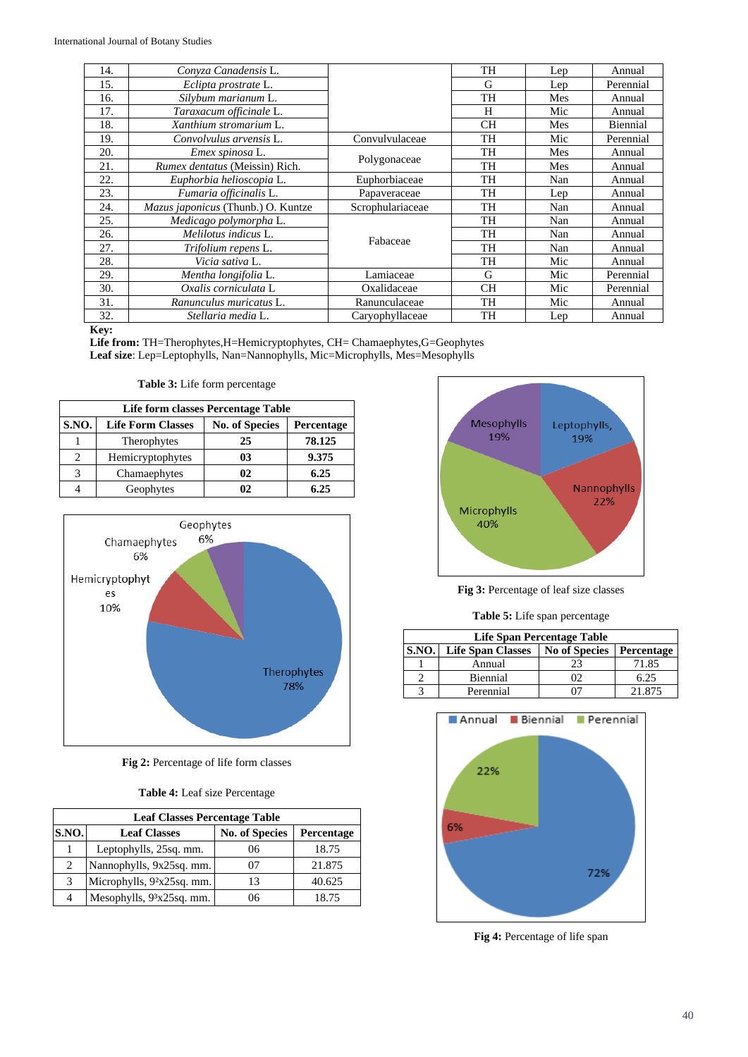| 14. | Conyza Canadensis L.               |                  | <b>TH</b> | Lep | Annual    |
|-----|------------------------------------|------------------|-----------|-----|-----------|
| 15. | Eclipta prostrate L.               |                  | G         | Lep | Perennial |
| 16. | Silybum marianum L.                |                  | TH        | Mes | Annual    |
| 17. | Taraxacum officinale L.            |                  | H         | Mic | Annual    |
| 18. | Xanthium stromarium L.             |                  | <b>CH</b> | Mes | Biennial  |
| 19. | Convolvulus arvensis L.            | Convulvulaceae   | TH        | Mic | Perennial |
| 20. | Emex spinosa L.                    |                  | TH        | Mes | Annual    |
| 21. | Rumex dentatus (Meissin) Rich.     | Polygonaceae     | TH        | Mes | Annual    |
| 22. | Euphorbia helioscopia L.           | Euphorbiaceae    | TH        | Nan | Annual    |
| 23. | Fumaria officinalis L.             | Papaveraceae     | TH        | Lep | Annual    |
| 24. | Mazus japonicus (Thunb.) O. Kuntze | Scrophulariaceae | TH        | Nan | Annual    |
| 25. | Medicago polymorpha L.             |                  | TH        | Nan | Annual    |
| 26. | Melilotus indicus L.               | Fabaceae         | <b>TH</b> | Nan | Annual    |
| 27. | Trifolium repens L.                |                  | TH        | Nan | Annual    |
| 28. | Vicia sativa L.                    |                  | TH        | Mic | Annual    |
| 29. | Mentha longifolia L.               | Lamiaceae        | G         | Mic | Perennial |
| 30. | Oxalis corniculata L               | Oxalidaceae      | <b>CH</b> | Mic | Perennial |
| 31. | Ranunculus muricatus L.            | Ranunculaceae    | <b>TH</b> | Mic | Annual    |
| 32. | Stellaria media L.                 | Caryophyllaceae  | TH        | Lep | Annual    |

### **Key:**

**Life from:** TH=Therophytes,H=Hemicryptophytes, CH= Chamaephytes,G=Geophytes **Leaf size**: Lep=Leptophylls, Nan=Nannophylls, Mic=Microphylls, Mes=Mesophylls

**Table 3:** Life form percentage

| Life form classes Percentage Table |                          |                       |            |  |
|------------------------------------|--------------------------|-----------------------|------------|--|
| <b>S.NO.</b>                       | <b>Life Form Classes</b> | <b>No. of Species</b> | Percentage |  |
|                                    | Therophytes              | 25                    | 78.125     |  |
| 2                                  | Hemicryptophytes         | 03                    | 9.375      |  |
| 3                                  | Chamaephytes             | 02                    | 6.25       |  |
|                                    | Geophytes                | 02                    | 6.25       |  |



**Fig 2:** Percentage of life form classes

**Table 4:** Leaf size Percentage

| <b>Leaf Classes Percentage Table</b> |                              |                       |                   |  |  |
|--------------------------------------|------------------------------|-----------------------|-------------------|--|--|
| <b>S.NO.</b>                         | <b>Leaf Classes</b>          | <b>No. of Species</b> | <b>Percentage</b> |  |  |
|                                      | Leptophylls, 25sq. mm.       | 06                    | 18.75             |  |  |
| 2                                    | Nannophylls, 9x25sq. mm.     | 07                    | 21.875            |  |  |
| 3                                    | Microphylls, $92x25sq$ . mm. | 13                    | 40.625            |  |  |
| 4                                    | Mesophylls, $93x25sq$ . mm.  | 06                    | 18.75             |  |  |



**Fig 3:** Percentage of leaf size classes

**Table 5:** Life span percentage

| Life Span Percentage Table                                              |           |  |        |  |
|-------------------------------------------------------------------------|-----------|--|--------|--|
| S.NO.<br><b>No of Species</b><br><b>Life Span Classes</b><br>Percentage |           |  |        |  |
|                                                                         | Annual    |  | 71.85  |  |
|                                                                         | Biennial  |  | 6.25   |  |
|                                                                         | Perennial |  | 21.875 |  |



**Fig 4:** Percentage of life span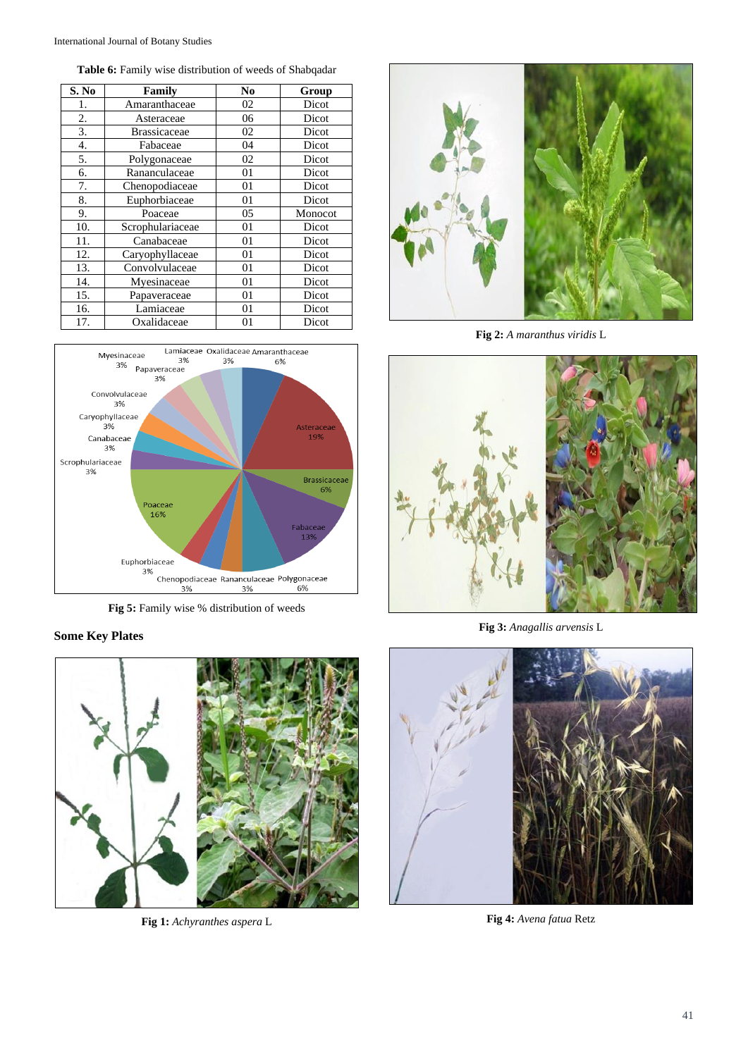**Table 6:** Family wise distribution of weeds of Shabqadar

| S. No | Family              | N <sub>0</sub> | Group   |
|-------|---------------------|----------------|---------|
| 1.    | Amaranthaceae       | 02             | Dicot   |
| 2.    | Asteraceae          | 06             | Dicot   |
| 3.    | <b>Brassicaceae</b> | 02             | Dicot   |
| 4.    | Fabaceae            | 04             | Dicot   |
| 5.    | Polygonaceae        | 02             | Dicot   |
| 6.    | Rananculaceae       | 01             | Dicot   |
| 7.    | Chenopodiaceae      | 01             | Dicot   |
| 8.    | Euphorbiaceae       | 01             | Dicot   |
| 9.    | Poaceae             | 05             | Monocot |
| 10.   | Scrophulariaceae    | 01             | Dicot   |
| 11.   | Canabaceae          | 01             | Dicot   |
| 12.   | Caryophyllaceae     | 01             | Dicot   |
| 13.   | Convolvulaceae      | 01             | Dicot   |
| 14.   | Myesinaceae         | 01             | Dicot   |
| 15.   | Papaveraceae        | 01             | Dicot   |
| 16.   | Lamiaceae           | 01             | Dicot   |
| 17.   | Oxalidaceae         | 01             | Dicot   |



**Fig 5:** Family wise % distribution of weeds

## **Some Key Plates**



**Fig 1:** *Achyranthes aspera* L



**Fig 2:** *A maranthus viridis* L



**Fig 3:** *Anagallis arvensis* L



**Fig 4:** *Avena fatua* Retz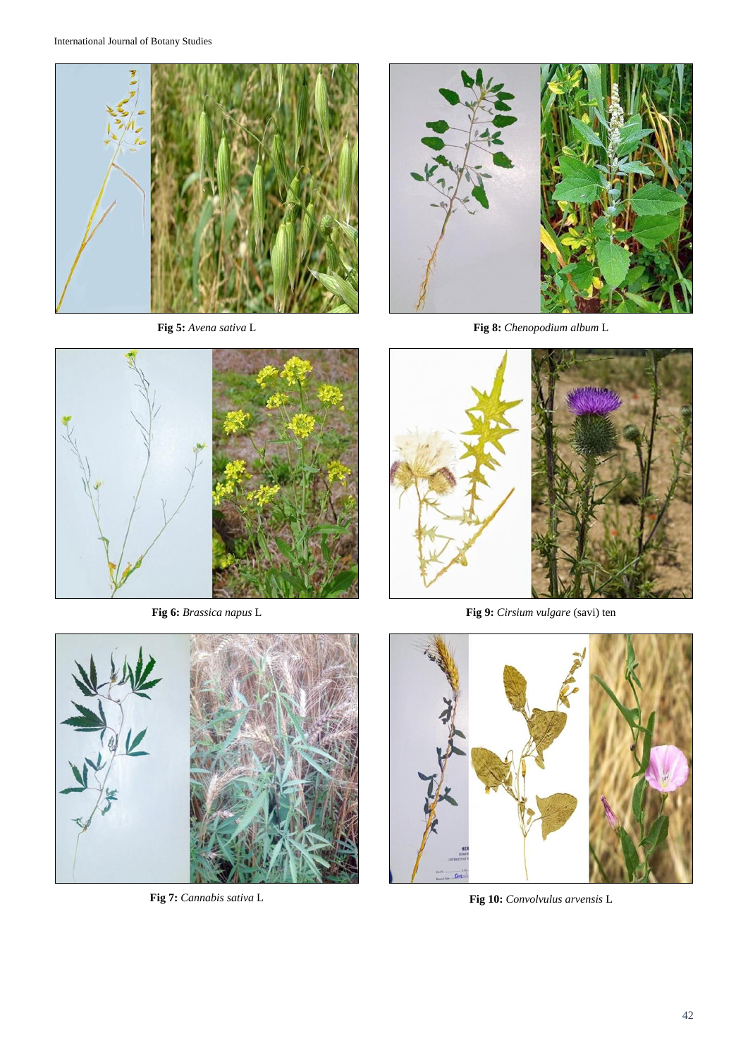

**Fig 5:** *Avena sativa* L



**Fig 6:** *Brassica napus* L



**Fig 7:** *Cannabis sativa* L



**Fig 8:** *Chenopodium album* L



**Fig 9:** *Cirsium vulgare* (savi) ten



**Fig 10:** *Convolvulus arvensis* L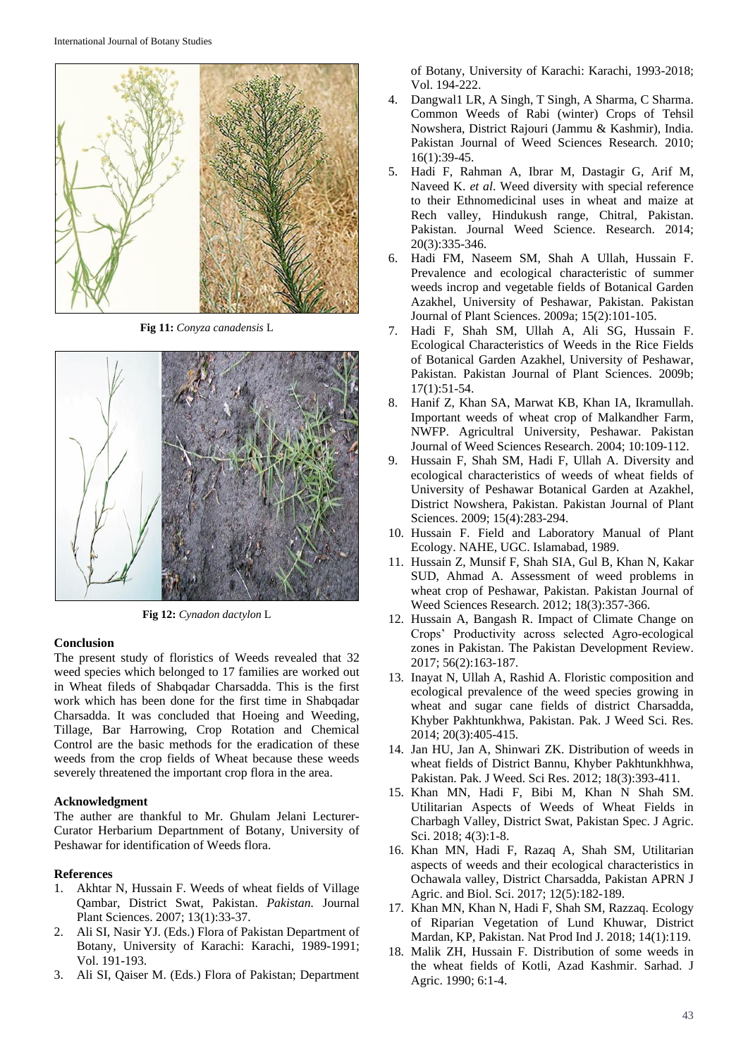

**Fig 11:** *Conyza canadensis* L



**Fig 12:** *Cynadon dactylon* L

#### **Conclusion**

The present study of floristics of Weeds revealed that 32 weed species which belonged to 17 families are worked out in Wheat fileds of Shabqadar Charsadda. This is the first work which has been done for the first time in Shabqadar Charsadda. It was concluded that Hoeing and Weeding, Tillage, Bar Harrowing, Crop Rotation and Chemical Control are the basic methods for the eradication of these weeds from the crop fields of Wheat because these weeds severely threatened the important crop flora in the area.

#### **Acknowledgment**

The auther are thankful to Mr. Ghulam Jelani Lecturer-Curator Herbarium Departnment of Botany, University of Peshawar for identification of Weeds flora.

#### **References**

- 1. Akhtar N, Hussain F. Weeds of wheat fields of Village Qambar, District Swat, Pakistan. *Pakistan.* Journal Plant Sciences. 2007; 13(1):33-37.
- 2. Ali SI, Nasir YJ. (Eds.) Flora of Pakistan Department of Botany, University of Karachi: Karachi, 1989-1991; Vol. 191-193.
- 3. Ali SI, Qaiser M. (Eds.) Flora of Pakistan; Department

of Botany, University of Karachi: Karachi, 1993-2018; Vol. 194-222.

- 4. Dangwal1 LR, A Singh, T Singh, A Sharma, C Sharma. Common Weeds of Rabi (winter) Crops of Tehsil Nowshera, District Rajouri (Jammu & Kashmir), India. Pakistan Journal of Weed Sciences Research*.* 2010; 16(1):39-45.
- 5. Hadi F, Rahman A, Ibrar M, Dastagir G, Arif M, Naveed K. *et al*. Weed diversity with special reference to their Ethnomedicinal uses in wheat and maize at Rech valley, Hindukush range, Chitral, Pakistan. Pakistan. Journal Weed Science. Research. 2014; 20(3):335-346.
- 6. Hadi FM, Naseem SM, Shah A Ullah, Hussain F. Prevalence and ecological characteristic of summer weeds incrop and vegetable fields of Botanical Garden Azakhel, University of Peshawar, Pakistan. Pakistan Journal of Plant Sciences. 2009a; 15(2):101-105.
- 7. Hadi F, Shah SM, Ullah A, Ali SG, Hussain F. Ecological Characteristics of Weeds in the Rice Fields of Botanical Garden Azakhel, University of Peshawar, Pakistan. Pakistan Journal of Plant Sciences. 2009b; 17(1):51-54.
- 8. Hanif Z, Khan SA, Marwat KB, Khan IA, Ikramullah. Important weeds of wheat crop of Malkandher Farm, NWFP. Agricultral University, Peshawar. Pakistan Journal of Weed Sciences Research. 2004; 10:109-112.
- 9. Hussain F, Shah SM, Hadi F, Ullah A. Diversity and ecological characteristics of weeds of wheat fields of University of Peshawar Botanical Garden at Azakhel, District Nowshera, Pakistan. Pakistan Journal of Plant Sciences. 2009; 15(4):283-294.
- 10. Hussain F. Field and Laboratory Manual of Plant Ecology. NAHE, UGC. Islamabad, 1989.
- 11. Hussain Z, Munsif F, Shah SIA, Gul B, Khan N, Kakar SUD, Ahmad A. Assessment of weed problems in wheat crop of Peshawar, Pakistan. Pakistan Journal of Weed Sciences Research*.* 2012; 18(3):357-366.
- 12. Hussain A, Bangash R. Impact of Climate Change on Crops' Productivity across selected Agro-ecological zones in Pakistan. The Pakistan Development Review. 2017; 56(2):163-187.
- 13. Inayat N, Ullah A, Rashid A. Floristic composition and ecological prevalence of the weed species growing in wheat and sugar cane fields of district Charsadda, Khyber Pakhtunkhwa, Pakistan. Pak. J Weed Sci. Res. 2014; 20(3):405-415.
- 14. Jan HU, Jan A, Shinwari ZK. Distribution of weeds in wheat fields of District Bannu, Khyber Pakhtunkhhwa, Pakistan. Pak. J Weed. Sci Res. 2012; 18(3):393-411.
- 15. Khan MN, Hadi F, Bibi M, Khan N Shah SM. Utilitarian Aspects of Weeds of Wheat Fields in Charbagh Valley, District Swat, Pakistan Spec. J Agric. Sci. 2018; 4(3):1-8.
- 16. Khan MN, Hadi F, Razaq A, Shah SM, Utilitarian aspects of weeds and their ecological characteristics in Ochawala valley, District Charsadda, Pakistan APRN J Agric. and Biol. Sci. 2017; 12(5):182-189.
- 17. Khan MN, Khan N, Hadi F, Shah SM, Razzaq. Ecology of Riparian Vegetation of Lund Khuwar, District Mardan, KP, Pakistan. Nat Prod Ind J. 2018; 14(1):119.
- 18. Malik ZH, Hussain F. Distribution of some weeds in the wheat fields of Kotli, Azad Kashmir. Sarhad. J Agric. 1990; 6:1-4.